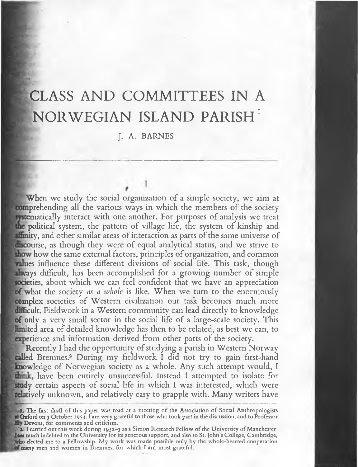# CLASS AND COMMITTEES IN A NORWEGIAN ISLAND PARISH<sup>1</sup>

J. A. BARNES

When we study the social organization of a simple society, we aim at comprehending all the various ways in which the members of the society witematically interact with one another. For purposes of analysis we treat the political system, the pattern of village life, the system of kinship and attentity, and other similar areas of interaction as parts of the same universe of discourse, as though they were of equal analytical status, and we strive to thow how the same external factors, principles of organization, and common values influence these different divisions of social life. This task, though lways difficult, has been accomplished for a growing number of simple societies, about which we can feel confident that we have an appreciation **of** what the society *as a whole* is like. When we turn to the enormously complex societies of Western civilization our task becomes much more difficult. Fieldwork in a Western community can lead directly to knowledge of only a very small sector in the social life of a large-scale society. This limited area of detailed knowledge has then to be related, as best we can, to experience and information derived from other parts of the society.

Recently I had the opportunity of studying a parish in Western Norway lied Bremnes.2 During my fieldwork I did not try to gain first-hand knowledge of Norwegian society as a whole. Any such attempt would, I have been entirely unsuccessful. Instead I attempted to isolate for study certain aspects of social life in which I was interested, which were relatively unknown, and relatively easy to grapple with. Many writers have

<sup>1.</sup> The first draft of this paper was read at a meeting of the Association of Social Anthropologists **Oxford on 3** October 1953. I am very grateful to those who took part in the discussion, and to Professor Ely Devons, for comments and criticism.

<sup>&</sup>lt;sup>2</sup> I carried out this work during 1952-3 as a Simon Research Fellow of the University of Manchester. lam much indebted to the University for its generous support, and also to St.John's College, Cambridge, who elected me to a Fellowship. My work was made possible only by the whole-hearted cooperation many men and women in Bremnes, for which I am most grateful.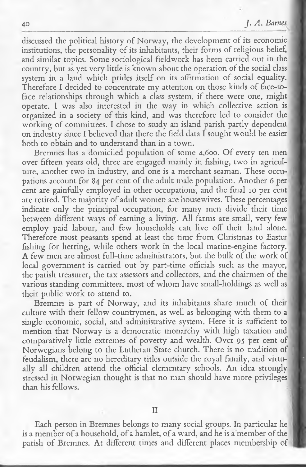discussed the political history of Norway, the development of its economic institutions, the personality of its inhabitants, their forms of religious belief, and similar topics. Some sociological fieldwork has been carried out in the country, but as yet very little is known about the operation of the social class system in a land which prides itself on its affirmation of social equality. Therefore I decided to concentrate my attention on those kinds of face-toface relationships through which a class system, if there were one, might operate. I was also interested in the way in which collective action is organized in a society of this kind, and was therefore led to consider the working of committees. I chose to study an island parish partly dependent on industry since I believed that there the field data I sought would be easier both to obtain and to understand than in a town.

Bremnes has a domiciled population of some 4,600. Of every ten men over fifteen years old, three are engaged mainly in fishing, two in agriculture, another two in industry, and one is a merchant seaman. These occupations account for 84 per cent of the adult male population. Another 6 per cent are gainfully employed in other occupations, and the final 10 per cent are retired. The majority of adult women are housewives. These percentages indicate only the principal occupation, for many men divide their time between different ways of earning a living. All farms are small, very few employ paid labour, and few households can live off their land alone. Therefore most peasants spend at least the time from Christmas to Easter fishing for herring, while others work in the local marine-engine factory. A few men are almost full-time administrators, but the bulk of the work of local government is carried out by part-time officials such as the mayor, the parish treasurer, the tax assessors and collectors, and the chairmen of the various standing committees, most of whom have small-holdings as well as their public work to attend to.

Bremnes is part of Norway, and its inhabitants share much of their culture with their fellow countrymen, as well as belonging with them to a single economic, social, and administrative system. Here it is sufficient to mention that Norway is a democratic monarchy with high taxation and comparatively little extremes of poverty and wealth. Over 95 per cent of Norwegians belong to the Lutheran State church. There is no tradition of <sup>j</sup> feudalism, there are no hereditary titles outside the royal family, and virtually all children attend the official elementary schools. An idea strongly stressed in Norwegian thought is that no man should have more privileges than his fellows.

Each person in Bremnes belongs to many social groups. In particular he is a member of a household, of a hamlet, of a ward, and he is a member of the parish of Bremnes. At different times and different places membership of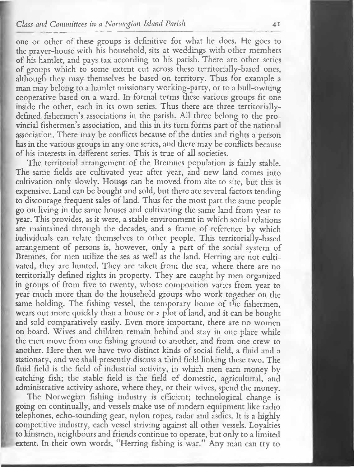one or other of these groups is definitive for what he does. He goes to the prayer-house with his household, sits at weddings with other members of his hamlet, and pays tax according to his parish. There are other series of groups which to some extent cut across these territorially-based ones, although they may themselves be based on territory. Thus for example a man may belong to a hamlet missionary working-party, or to a bull-owning cooperative based on a ward. In formal terms these various groups fit one inside the other, each in its own series. Thus there are three territoriallydefined fishermen's associations in the parish. All three belong to the provincial fishermen's association, and this in its turn forms part of the national association. There may be conflicts because of the duties and rights a person has in the various groups in any one series, and there may be conflicts because of his interests in different series. This is true of all societies.

The territorial arrangement of the Bremnes population is fairly stable. The same fields are cultivated year after year, and new land comes into cultivation only slowly. Houses can be moved from site to site, but this is expensive. Land can be bought and sold, but there are several factors tending to discourage frequent sales of land. Thus for the most part the same people go on living in the same houses and cultivating the same land from year to year. This provides, as it were, a stable environment in which social relations are maintained through the decades, and a frame of reference by which individuals can relate themselves to other people. This territorially-based arrangement of persons is, however, only a part of the social system of Bremnes, for men utilize the sea as well as the land. Herring are not cultivated, they are hunted. They are taken from the sea, where there are no territorially defined rights in property. They are caught by men organized in groups of from five to twenty, whose composition varies from year to year much more than do the household groups who work together on the same holding. The fishing vessel, the temporary home of the fishermen, wears out more quickly than a house or a plot of land, and it can be bought and sold comparatively easily. Even more important, there are no women on board. Wives and children remain behind and stay in one place while the men move from one fishing ground to another, and from one crew to another. Here then we have two distinct kinds of social field, a fluid and a stationary, and we shall presently discuss a third field linking these two. The fluid field is the field of industrial activity, in which men earn money by catching fish; the stable field is the field of domestic, agricultural, and administrative activity ashore, where they, or their wives, spend the money.

The Norwegian fishing industry is efficient; technological change is going on continually, and vessels make use of modern equipment like radio telephones, echo-sounding gear, nylon ropes, radar and asdics. It is a highly competitive industry, each vessel striving against all other vessels. Loyalties to kinsmen, neighbours and friends continue to operate, but only to a limited extent. In their own words, "Herring fishing is war." Any man can try to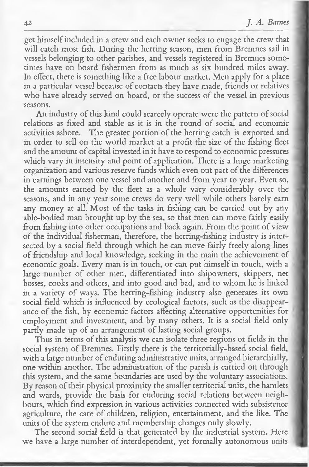get himself included in a crew and each owner seeks to engage the crew that will catch most fish. During the herring season, men from Bremnes sail in vessels belonging to other parishes, and vessels registered in Bremnes sometimes have on board fishermen from as much as six hundred miles away. In effect, there is something like a free labour market. Men apply for a place in a particular vessel because of contacts they have made, friends or relatives who have already served on board, or the success of the vessel in previous seasons.

An industry of this kind could scarcely operate were the pattern of social relations as fixed and stable as it is in the round of social and economic activities ashore. The greater portion of the herring catch is exported and in order to sell on the world market at a profit the size of the fishing fleet and the amount of capital invested in it have to respond to economic pressures which vary in intensity and point of application. There is a huge marketing organization and various reserve funds which even out part of the differences in earnings between one vessel and another and from year to year. Even so, the amounts earned by the fleet as a whole vary considerably over the seasons, and in any year some crews do very well while others barely earn any money at all. Most of the tasks in fishing can be carried out by any able-bodied man brought up by the sea, so that men can move fairly easily from fishing into other occupations and back again. From the point of view of the individual fisherman, therefore, the herring-fishing industry is intersected by a social field through which he can move fairly freely along lines of friendship and local knowledge, seeking in the main the achievement of economic goals. Every man is in touch, or can put himself in touch, with a large number of other men, differentiated into shipowners, skippers, net bosses, cooks and others, and into good and bad, and to whom he is linked in a variety of ways. The herring-fishing industry also generates its own social field which is influenced by ecological factors, such as the disappearance of the fish, by economic factors affecting alternative opportunities for employment and investment, and by many others. It is a social field only partly made up of an arrangement of lasting social groups.

Thus in terms of this analysis we can isolate three regions or fields in the social system of Bremnes. Firstly there is the territorially-based social field, with a large number of enduring administrative units, arranged hierarchially, one within another. The administration of the parish is carried on through this system, and the same boundaries are used by the voluntary associations. By reason of their physical proximity the smaller territorial units, the hamlets and wards, provide the basis for enduring social relations between neighbours, which find expression in various activities connected with subsistence agriculture, the care of children, religion, entertainment, and the like. The units of the system endure and membership changes only slowly.

The second social field is that generated by the industrial system. Here we have a large number of interdependent, yet formally autonomous units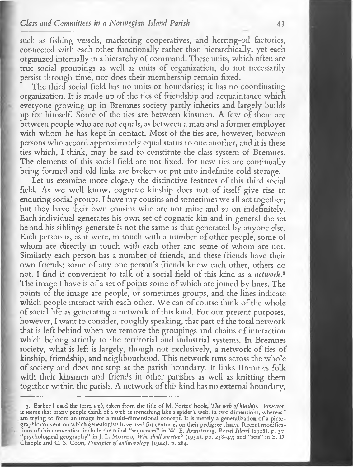such as fishing vessels, marketing cooperatives, and herring-oil factories, connected with each other functionally rather than hierarchically, yet each organized internally in a hierarchy of command. These units, which often are true social groupings as well as units of organization, do not necessarily persist through time, nor does their membership remain fixed.

The third social field has no units or boundaries; it has no coordinating organization. It is made up of the ties of friendship and acquaintance which everyone growing up in Bremnes society partly inherits and largely builds up for himself. Some of the ties are between kinsmen. A few of them are between people who are not equals, as between a man and a former employer with whom he has kept in contact. Most of the ties are, however, between persons who accord approximately equal status to one another, and it is these ties which, I think, may be said to constitute the class system of Bremnes. The elements of this social field are not fixed, for new ties are continually being formed and old links are broken or put into indefinite cold storage.

Let us examine more closely the distinctive features of this third social field. As we well know, cognatic kinship does not of itself give rise to enduring social groups. I have my cousins and sometimes we all act together; but they have their own cousins who are not mine and so on indefinitely. Each individual generates his own set of cognatic kin and in general the set he and his siblings generate is not the same as that generated by anyone else. Each person is, as it were, in touch with a number of other people, some of whom are directly in touch with each other and some of whom are not. Similarly each person has a number of friends, and these friends have their own friends; some of any one person's friends know each other, others do not. I find it convenient to talk of a social field of this kind as a *network*.<sup>3</sup> The image I have is of a set of points some of which are joined by lines. The points of the image are people, or sometimes groups, and the lines indicate which people interact with each other. We can of course think of the whole of social life as generating a network of this kind. For our present purposes, however, I want to consider, roughly speaking, that part of the total network that is left behind when we remove the groupings and chains of interaction which belong strictly to the territorial and industrial systems. In Bremnes society, what is left is largely, though not exclusively, a network of ties of kinship, friendship, and neighbourhood. This network runs across the whole of society and does not stop at the parish boundary. It links Bremnes folk with their kinsmen and friends in other parishes as well as knitting them together within the parish. A network of this kind has no external boundary,

<sup>3.</sup> Earlier I used the term web, taken from the title of M. Fortes' book, *The web of kinship*. However, it seems that many people think of a web as something like a spider's web, in two dimensions, whereas I<br>am trying to form an image for a multi-dimensional concept. It is merely a generalization of a pictographic convention which genealogists have used for centuries on their pedigree charts. Recent modifications of this convention include the tribal "sequences" in W. E. Armstrong, *Rossel Island* (1928), p. 37; " psychological geography" in J. L. Moreno, *Who shall survive*? (1934), pp. 238-47; and "sets" in E. D. Chappie and C . S. Coon, *Principles of anthropology* (1942), p. 284.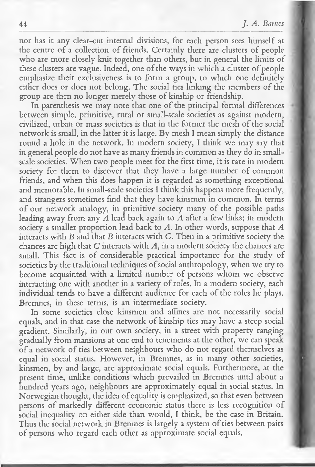nor has it any clear-cut internal divisions, for each person sees himself at the centre of a collection of friends. Certainly there are clusters of people who are more closely knit together than others, but in general the limits of these clusters are vague. Indeed, one of the ways in which a cluster of people emphasize their exclusiveness is to form a group, to which one definitely either does or does not belong. The social ties linking the members of the group are then no longer merely those of kinship or friendship.

In parenthesis we may note that one of the principal formal differences between simple, primitive, rural or small-scale societies as against modem, civilized, urban or mass societies is that in the former the mesh of the social network is small, in the latter it is large. By mesh I mean simply the distance round a hole in the network. In modern society, I think we may say that in general people do not have as many friends in common as they do in smallscale societies. When two people meet for the first time, it is rare in modem society for them to discover that they have a large number of common friends, and when this does happen it is regarded as something exceptional and memorable. In small-scale societies I think this happens more frequently, and strangers sometimes find that they have kinsmen in common. In terms of our network analogy, in primitive society many of the possible paths leading away from any *A* lead back again to *A* after a few links; in modern society a smaller proportion lead back to *A.* In other words, suppose that *A* interacts with *B* and that *B* interacts with C. Then in a primitive society the chances are high that C interacts with *A,* in a modern society the chances are small. This fact is of considerable practical importance for the study of societies by the traditional techniques of social anthropology, when we try to become acquainted with a limited number of persons whom we observe interacting one with another in a variety of roles. In a modern society, each individual tends to have a different audience for each of the roles he plays. Bremnes, in these terms, is an intermediate society.

In some societies close kinsmen and affines are not necessarily social equals, and in that case the network of kinship ties may have a steep social gradient. Similarly, in our own society, in a street with property ranging gradually from mansions at one end to tenements at the other, we can speak of a network of ties between neighbours who do not regard themselves as equal in social status. However, in Bremnes, as in many other societies, kinsmen, by and large, are approximate social equals. Furthermore, at the present time, unlike conditions which prevailed in Bremnes until about a hundred years ago, neighbours are approximately equal in social status. In Norwegian thought, the idea of equality is emphasized, so that even between persons of markedly different economic status there is less recognition of social inequality on either side than would, I think, be the case in Britain. Thus the social network in Bremnes is largely a system of ties between pairs of persons who regard each other as approximate social equals.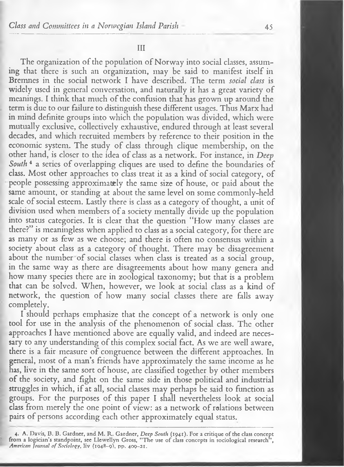III

The organization of the population of Norway into social classes, assuming that there is such an organization, may be said to manifest itself in Bremnes in the social network I have described. The term *social class* is widely used in general conversation, and naturally it has a great variety of meanings. I think that much of the confusion that has grown up around the term is due to our failure to distinguish these different usages. Thus Marx had in mind definite groups into which the population was divided, which were mutually exclusive, collectively exhaustive, endured through at least several decades, and which recruited members by reference to their position in the economic system. The study of class through clique membership, on the other hand, is closer to the idea of class as a network. For instance, in *Deep* South<sup>4</sup> a series of overlapping cliques are used to define the boundaries of class. Most other approaches to class treat it as a kind of social category, of people possessing approximately the same size of house, or paid about the same amount, or standing at about the same level on some commonly-held scale of social esteem. Lastly there is class as a category of thought, a unit of division used when members of a society mentally divide up the population into status categories. It is clear that the question " How many classes are there?" is meaningless when applied to class as a social category, for there are as many or as few as we choose; and there is often no consensus within a society about class as a category of thought. There may be disagreement about the number of social classes when class is treated as a social group, in the same way as there are disagreements about how many genera and how many species there are in zoological taxonomy; but that is a problem that can be solved. When, however, we look at social class as a kind of network, the question of how many social classes there are falls away completely.

I should perhaps emphasize that the concept of a network is only one tool for use in the analysis of the phenomenon of social class. The other approaches I have mentioned above are equally valid, and indeed are necessary to any understanding of this complex social fact. As we are well aware, there is a fair measure of congruence between the different approaches. In general, most of a man's friends have approximately the same income as he has, live in the same sort of house, are classified together by other members of the society, and fight on the same side in those political and industrial struggles in which, if at all, social classes may perhaps be said to function as groups. For the purposes of this paper I shall nevertheless look at social class from merely the one point of view: as a network of relations between pairs of persons according each other approximately equal status.

<sup>4.</sup> A. Davis, B. B. Gardner, and M. R. Gardner, *Deep South* (1941). For a critique of the class concept<br>from a logician's standpoint, see Llewellyn Gross, "The use of class concepts in sociological research", *American Journal of Sociology*, liv (1948-9), pp. 409-21.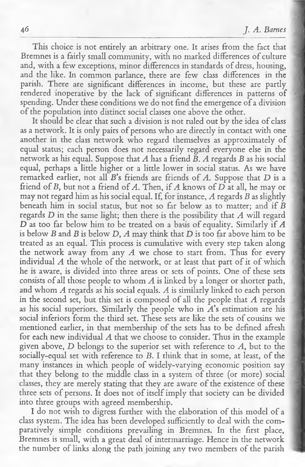This choice is not entirely an arbitrary one. It arises from the fact that Bremnes is a fairly small community, with no marked differences of culture and, with a few exceptions, minor differences in standards of dress, housing, and the like. In common parlance, there are few class differences in the parish. There are significant differences in income, but these are partly rendered inoperative by the lack of significant differences in patterns of spending. Under these conditions we do not find the emergence of a division of the population into distinct social classes one above the other.

It should be clear that such a division is not ruled out by the idea of class as a network. It is only pairs of persons who are directly in contact with one another in the class network who regard themselves as approximately of equal status; each person does not necessarily regard everyone else in the network as his equal. Suppose that *A* has a friend *B. A* regards *B* as his social equal, perhaps a little higher or a little lower in social status. As we have remarked earlier, not all *B*'s friends are friends of *A*. Suppose that *D* is a friend of *B*, but not a friend of *A*. Then, if *A* knows of  $\overline{D}$  at all, he may or may not regard him as his social equal. If, for instance, *A* regards *B* as slightly beneath him in social status, but not so far below as to matter; and if *B* regards *D* in the same light; then there is the possibility that *A* will regard *D* as too far below him to be treated on a basis of equality. Similarly if *A* is below *B* and *B* is below *D, A* may think that *D* is too far above him to be treated as an equal. This process is cumulative with every step taken along the network away from any *A* we chose to start from. Thus for every individual  $A$  the whole of the network, or at least that part of it of which he is aware, is divided into three areas or sets of points. One of these sets consists of all those people to whom  $A$  is linked by a longer or shorter path, and whom *A* regards as his social equals. *A* is similarly linked to each person in the second set, but this set is composed of all the people that *A* regards as his social superiors. Similarly the people who in *A 's* estimation are his social inferiors form the third set. These sets are like the sets of cousins we mentioned earlier, in that membership of the sets has to be defined afresh for each new individual *A* that we choose to consider. Thus in the example given above, *D* belongs to the superior set with reference to *A,* but to the socially-equal set with reference to *B*. I think that in some, at least, of the many instances in which people of widely-varying economic position say that they belong to the middle class in a system of three (or more) social classes, they are merely stating that they are aware of the existence of these three sets of persons. It does not of itself imply that society can be divided into three groups with agreed membership.

I do not wish to digress further with the elaboration of this model of a class system. The idea has been developed sufficiently to deal with the comparatively simple conditions prevailing in Bremnes. In the first place, Bremnes is small, with a great deal of intermarriage. Hence in the network the number of links along the path joining any two members of the parish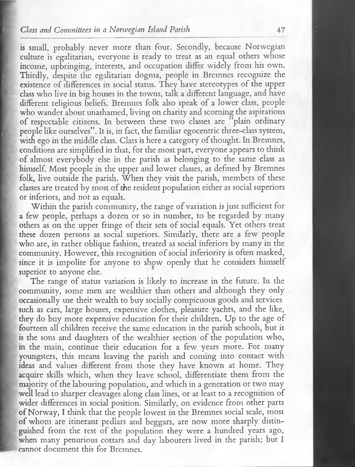is small, probably never more than four. Secondly, because Norwegian culture is cgalitarian, everyone is ready to treat as an equal others whose income, upbringing, interests, and occupation differ widely from his own. Thirdly, despite the egalitarian dogma, people in Bremnes recognize the existence of differences in social status. They have stereotypes of the upper class who live in big houses in the towns, talk a different language, and have different religious beliefs. Bremnes folk also speak of a lower class, people who wander about unashamed, living on charity and scorning the aspirations of respectable citizens. In between these two classes are "plain ordinary people like ourselves". It is, in fact, the familiar egocentric three-class system, with ego in the middle class. Class is here a category of thought. In Bremnes, conditions are simplified in that, for the most part, everyone appears to think of almost everybody else in the parish as belonging to the same class as himself. Most people in the upper and lower classes, as defined by Bremnes folk, live outside the parish. When they visit the parish, members of these classes are treated by most of the resident population either as social superiors or inferiors, and not as equals.

Within the parish community, the range of variation is just sufficient for a few people, perhaps a dozen or so in number, to be regarded by many others as on the upper fringe of their sets of social equals. Yet others treat these dozen persons as social superiors. Similarly, there are a few people who are, in rather oblique fashion, treated as social inferiors by many in the community. However, this recognition of social inferiority is often masked, since it is impolite for anyone to show openly that he considers himself superior to anyone else.

The range of status variation is likely to increase in the future. In the community, some men are wealthier than others and although they only occasionally use their wealth to buy socially conspicuous goods and services such as cars, large houses, expensive clothes, pleasure yachts, and the like, they do buy more expensive education for their children. Up to the age of fourteen all children receive the same education in the parish schools, but it is the sons and daughters of the wealthier section of the population who, in the main, continue their education for a few years more. For many youngsters, this means leaving the parish and coming into contact with ideas and values different from those they have known at home. They acquire skills which, when they leave school, differentiate them from the majority of the labouring population, and which in a generation or two may well lead to sharper cleavages along class lines, or at least to a recognition of wider differences in social position. Similarly, on evidence from other parts of Norway, I think that the people lowest in the Bremnes social scale, most of whom are itinerant pedlars and beggars, are now more sharply distinguished from the rest of the population they were a hundred years ago, when many penurious cottars and day labourers lived in the parish; but I cannot document this for Bremnes.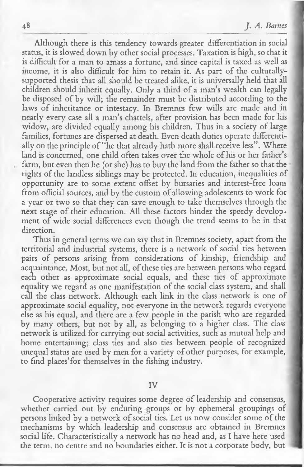Although there is this tendency towards greater differentiation in social status, it is slowed down by other social processes. Taxation is high, so that it is difficult for a man to amass a fortune, and since capital is taxed as well as income, it is also difficult for him to retain it. As part of the culturallysupported thesis that all should be treated alike, it is universally held that all children should inherit equally. Only a third of a man's wealth can legally be disposed of by will; the remainder must be distributed according to the laws of inheritance or intestacy. In Bremnes few wills are made and in nearly every case all a man's chattels, after provision has been made for his widow, are divided equally among his children. Thus in a society of large families, fortunes are dispersed at death. Even death duties operate differentially on the principle of "he that already hath more shall receive less". Where land is concerned, one child often takes over the whole of his or her father's farm, but even then he (or she) has to buy the land from the father so that the rights of the landless siblings may be protected. In education, inequalities of opportunity are to some extent offset by bursaries and interest-free loans from official sources, and by the custom of allowing adolescents to work for a year or two so that they can save enough to take themselves through the next stage of their education. All these factors hinder the speedy development of wide social differences even though the trend seems to be in that direction.

Thus in general terms we can say that in Bremnes society, apart from the territorial and industrial systems, there is a network of social ties between pairs of persons arising from considerations of kinship, friendship and acquaintance. Most, but not all, of these ties are between persons who regard each other as approximate social equals, and these ties of approximate equality we regard as one manifestation of the social class system, and shall call the class network. Although each link in the class network is one of approximate social equality, not everyone in the network regards everyone else as his equal, and there are a few people in the parish who are regarded by many others, but not by all, as belonging to a higher class. The class network is utilized for carrying out social activities, such as mutual help and home entertaining; class ties and also ties between people of recognized unequal status are used by men for a variety of other purposes, for example, to find places' for themselves in the fishing industry.

Cooperative activity requires some degree of leadership and consensus, whether carried out by enduring groups or by ephemeral groupings of persons linked by a network of social ties. Let us now consider some of the mechanisms by which leadership and consensus are obtained in Bremnes social life. Characteristically a network has no head and, as I have here used the term, no centre and no boundaries either. It is not a corporate body, but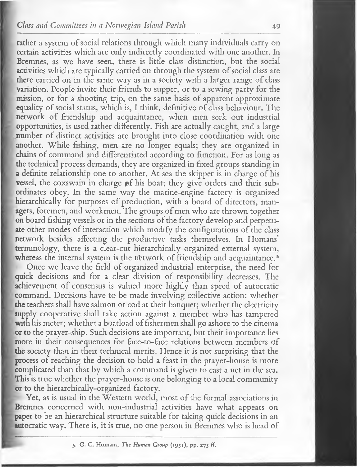rather a system of social relations through which many individuals carry on certain activities which are only indirectly coordinated with one another. In Bremnes, as we have seen, there is little class distinction, but the social activities which are typically carried on through the system of social class are there carried on in the same way as in a society with a larger range of class variation. People invite their friends to supper, or to a sewing party for the mission, or for a shooting trip, on the same basis of apparent approximate equality of social status, which is, I think, definitive of class behaviour. The network of friendship and acquaintance, when men seek out industrial opportunities, is used rather differently. Fish are actually caught, and a large number of distinct activities are brought into close coordination with one another. While fishing, men are no longer equals; they are organized in chains of command and differentiated according to function. For as long as the technical process demands, they are organized in fixed groups standing in a definite relationship one to another. At sea the skipper is in charge of his vessel, the coxswain in charge of his boat; they give orders and their subordinates obey. In the same way the marine-engine factory is organized hierarchically for purposes of production, with a board of directors, managers, foremen, and workmen. The groups of men who are thrown together on board fishing vessels or in the sections of the factory develop and perpetuate other modes of interaction which modify the configurations of the class network besides affecting the productive tasks themselves. In Homans' terminology, there is a clear-cut hierarchically organized external system, whereas the internal system is the network of friendship and acquaintance.<sup>5</sup>

Once we leave the field of organized industrial enterprise, the need for quick decisions and for a clear division of responsibility decreases. The achievement of consensus is valued more highly than speed of autocratic command. Decisions have to be made involving collective action: whether the teachers shall have salmon or cod at their banquet; whether the electricity supply cooperative shall take action against a member who has tampered with his meter; whether a boatload of fishermen shall go ashore to the cinema or to the prayer-ship. Such decisions are important, but their importance lies more in their consequences for face-to-face relations between members of thè society than in their technical merits. Hence it is not surprising that the process of reaching the decision to hold a feast in the prayer-house is more complicated than that by which a command is given to cast a net in the sea. This is true whether the prayer-house is one belonging to a local community or to the hierarchically-organized factory.

Yet, as is usual in the Western world, most of the formal associations in Bremnes concerned with non-industrial activities have what appears on paper to be an hierarchical structure suitable for taking quick decisions in an autocratic way. There is, it is true, no one person in Bremnes who is head of

<sup>5.</sup> G. C. Homans, *The Human Group* (1951), pp. 273 if.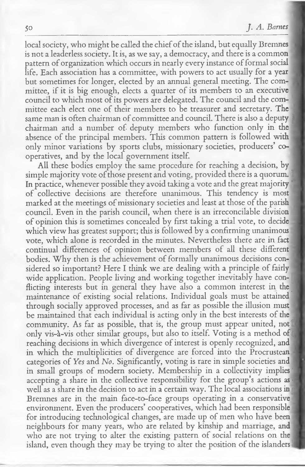local society, who might be called the chief of the island, but equally Bremnes is not a leaderless society. It is, as we say, a democracy, and there is a common pattern of organization which occurs in nearly every instance of formal social life. Each association has a committee, with powers to act usually for a year but sometimes for longer, elected by an annual general meeting. The committee, if it is big enough, elects a quarter of its members to an executive council to which most of its powers are delegated. The council and the committee each elect one of their members to be treasurer and secretary. The same man is often chairman of committee and council. There is also a deputy chairman and a number of deputy members who function only in the absence of the principal members. This common pattern is followed with only minor variations by sports clubs, missionary societies, producers' cooperatives, and by the local government itself.

All these bodies employ the same procedure for reaching a decision, by simple majority vote of those present and voting, provided there is a quorum. In practice, whenever possible they avoid taking a vote and the great majority ' of collective decisions are therefore unanimous. This tendency is most marked at the meetings of missionary societies and least at those of the parish council. Even in the parish council, when there is an irreconcilable division of opinion this is sometimes concealed by first taking a trial vote, to decide which view has greatest support; this is followed by a confirming unanimous vote, which alone is recorded in the minutes. Nevertheless there are in fact continual differences of opinion between members of all these different bodies. W hy then is the achievement of formally unanimous decisions considered so important? Here I think we are dealing with a principle of fairly wide application. People living and working together inevitably have conflicting interests but in general they have also a common interest in the maintenance of existing social relations. Individual goals must be attained through socially approved processes, and as far as possible the illusion must be maintained that each individual is acting only in the best interests of the community. As far as possible, that is, the group must appear united, not only vis-à-vis other similar groups, but also to itself. Voting is a method of j reaching decisions in which divergence of interest is openly recognized, and in which the multiplicities of divergence are forced into the Procrustean categories of *Yes* and *No.* Significantly, voting is rare in simple societies and in small groups of modern society. Membership in a collectivity implies accepting a share in the collective responsibility for the group's actions as well as a share in the decision to act in a certain way. The local associations in j Bremnes are in the main face-to-face groups operating in a conservative environment. Even the producers' cooperatives, which had been responsible for introducing technological changes, are made up of men who have been neighbours for many years, who are related by kinship and marriage, and who are not trying to alter the existing pattern of social relations on the island, even though they may be trying to alter the position of the islanders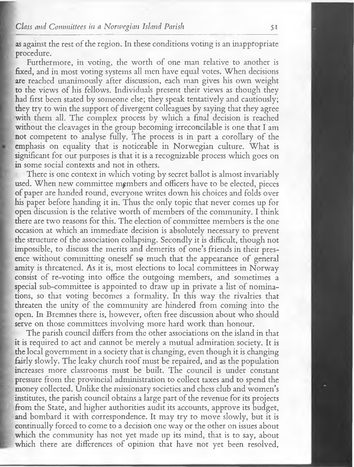as against the rest of the region. In these conditions voting is an inappropriate procedure.

Furthermore, in voting, the worth of one man relative to another is fixed, and in most voting systems all men have equal votes. When decisions are reached unanimously after discussion, each man gives his own weight to the views of his fellows. Individuals present their views as though they had first been stated by someone else; they speak tentatively and cautiously; they try to win the support of divergent colleagues by saying that they agree with them all. The complex process by which a final decision is reached without the cleavages in the group becoming irreconcilable is one that I am not competent to analyse fully. The process is in part a corollary of the emphasis on equality that is noticeable in Norwegian culture. What is significant for our purposes is that it is a recognizable process which goes on in some social contexts and not in others.

There is one context in which voting by secret ballot is almost invariably used. When new committee members and officers have to be elected, pieces of paper are handed round, everyone writes down his choices and folds over his paper before handing it in. Thus the only topic that never comes up for open discussion is the relative worth of members of the community. I think there are two reasons for this. The election of committee members is the one occasion at which an immediate decision is absolutely necessary to prevent the structure of the association collapsing. Secondly it is difficult, though not impossible, to discuss the merits and demerits of one's friends in their presence without committing oneself  $s$ <sup>0</sup> much that the appearance of general amity is threatened. As it is, most elections to local committees in Norway consist of re-voting into office the outgoing members, and sometimes a special sub-committee is appointed to draw up in private a list of nominations, so that voting becomes a formality. In this way the rivalries that threaten the unity of the community are hindered from coming into the open. In Bremnes there is, however, often free discussion about who should serve on those committees involving more hard work than honour.

The parish council differs from the other associations on the island in that it is required to act and cannot be merely a mutual admiration society. It is the local government in a society that is changing, even though it is changing fairly slowly. The leaky church roof must be repaired, and as the population increases more classrooms must be built. The council is under constant pressure from the provincial administration to collect taxes and to spend the money collected. Unlike the missionary societies and chess club and women's institutes, the parish council obtains a large part of the revenue for its projects from the State, and higher authorities audit its accounts, approve its budget, and bombard it with correspondence. It may try to move slowly, but it is continually forced to come to a decision one way or the other on issues about which the community has not yet made up its mind, that is to say, about which there are differences of opinion that have not yet been resolved.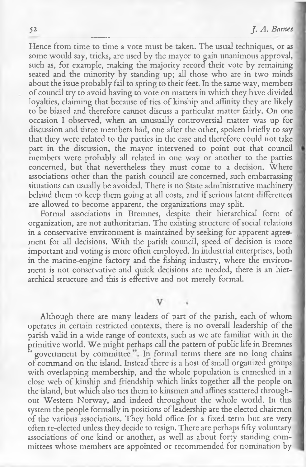Hence from time to time a vote must be taken. The usual techniques, or as some would say, tricks, are used by the mayor to gain unanimous approval, such as, for example, making the majority record their vote by remaining seated and the minority by standing up; all those who are in two minds about the issue probably fail to spring to their feet. In the same way, members of council try to avoid having to vote on matters in which they have divided loyalties, claiming that because of ties of kinship and affinity they are likely to be biased and therefore cannot discuss a particular matter fairly. On one occasion I observed, when an unusually controversial matter was up for discussion and three members had, one after the other, spoken briefly to say that they were related to the parties in the case and therefore could not take part in the discussion, the mayor intervened to point out that council members were probably all related in one way or another to the parties concerned, but that nevertheless they must come to a decision. Where associations other than the parish council are concerned, such embarrassing situations can usually be avoided. There is no State administrative machinery behind them to keep them going at all costs, and if serious latent differences are allowed to become apparent, the organizations may split.

Formal associations in Bremnes, despite their hierarchical form of organization, are not authoritarian. The existing structure of social relations in a conservative environment is maintained by seeking for apparent agreement for all decisions. With the parish council, speed of decision is more important and voting is more often employed. In industrial enterprises, both in the marine-engine factory and the fishing industry, where the environment is not conservative and quick decisions are needed, there is an hierarchical structure and this is effective and not merely formal.

V

Although there are many leaders of part of the parish, each of whom operates in certain restricted contexts, there is no overall leadership of the parish valid in a wide range of contexts, such as we are familiar with in the primitive world. We might perhaps call the pattern of public life in Bremnes government by committee". In formal terms there are no long chains of command on the island. Instead there is a host of small organized groups with overlapping membership, and the whole population is enmeshed in a close web of kinship and friendship which links together all the people on the island, but which also ties them to kinsmen and affines scattered throughout Western Norway, and indeed throughout the whole world. In this system the people formally in positions of leadership are the elected chairmen of the various associations. They hold office for a fixed term but are very often re-elected unless they decide to resign. There are perhaps fifty voluntary associations of one kind or another, as well as about forty standing com-

mittees whose members are appointed or recommended for nomination by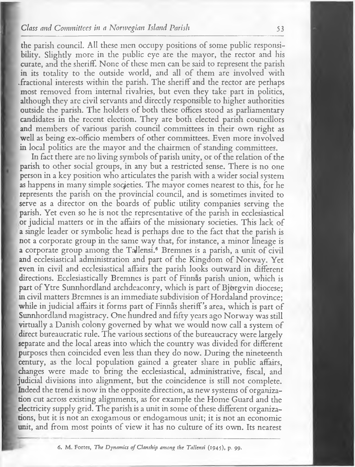the parish council. All these men occupy positions of some public responsibility. Slightly more in the public eye are the mayor, the rector and his curate, and the sheriff. None of these men can be said to represent the parish in its totality to the outside world, and all of them are involved with -fractional interests within the parish. The sheriff and the rector are perhaps most removed from internal rivalries, but even they take part in politics, although they arc civil servants and directly responsible to higher authorities outside the parish. The holders of both these offices stood as parliamentary candidates in the recent election. They are both elected parish councillors and members of various parish council committees in their own right as well as being ex-officio members of other committees. Even more involved in local politics are the mayor and the chairmen of standing committees.

In fact there are no living symbols of parish unity, or of the relation of the parish to other social groups, in any but a restricted sense. There is no one person in a key position who articulates the parish with a wider social system as happens in many simple societies. The mayor comes nearest to this, for he represents the parish on the provincial council, and is sometimes invited to serve as a director on the boards of public utility companies serving the parish. Yet even so he is not the representative of the parish in ecclesiastical or judicial matters or in the affairs of the missionary societies. This lack of a single leader or symbolic head is perhaps due to the fact that the parish is not a corporate group in the same way that, for instance, a minor lmeage is a corporate group among the Tallensi.<sup>6</sup> Bremnes is a parish, a unit of civil and ecclesiastical administration and part of the Kingdom of Norway. Yet even in civil and ecclesiastical affairs the parish looks outward in different directions. Ecclesiastically Bremnes is part of Finnas parish union, which is part of Ytre Sunnhordland archdeaconry, which is part of Bjørgvin diocese; in civil matters Bremnes is an immediate subdivision of Hordaland province; while in judicial affairs it forms part of Finnas sheriff's area, which is part of Sunnhordland magistracy. One hundred and fifty years ago Norway was still virtually a Danish colony governed by what we would now call a system of direct bureaucratic rule. The various sections of the bureaucracy were largely separate and the local areas into which the country was divided for different purposes then coincidcd even less than they do now. During the nineteenth century, as the local population gained a greater share in public affairs, changes were made to bring the ecclesiastical, administrative, fiscal, and judicial divisions into alignment, but the coincidence is still not complete. Indeed the trend is now in the opposite direction, as new systems of organization cut across existing alignments, as for example the Home Guard and the electricity supply grid. The parish is a unit in some of these different organizations, but it is not an exogamous or endogamous unit; it is not an economic unit, and from most points of view it has no culture of its own. Its nearest

#### 6. M . Fortes, *The Dynamics of Clanship among the Tallensi* (1945), p. 99.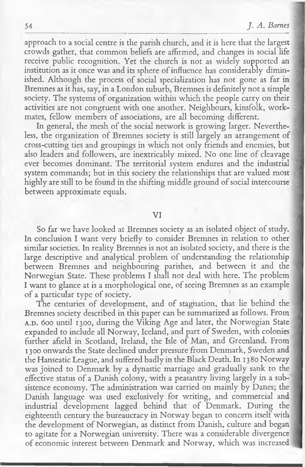approach to a social centre is the parish church, and it is here that the largest crowds gather, that common beliefs are affirmed, and changes in social life receive public recognition. Yet the church is not as widely supported an institution as it once was and its sphere of influence has considerably diminished. Although the process of social specialization has not gone as far in Bremnes as it has, say, in a London suburb, Bremnes is definitely not a simple society. The systems of organization within which the people carry on their activities are not congruent with one another. Neighbours, kinsfolk, workmates, fellow members of associations, are all becoming different.

In general, the mesh of the social network is growing larger. Nevertheless, the organization of Bremnes society is still largely an arrangement of cross-cutting ties and groupings in which not only friends and enemies, but also leaders and followers, are inextricably mixed. No one line of cleavage ever becomes dominant. The territorial system endures and the industrial system commands; but in this society the relationships that are valued most highly are still to be found in the shifting middle ground of social intercourse between approximate equals.

VI

So far we have looked at Bremnes society as an isolated object of study. In conclusion I want very briefly to consider Bremnes in relation to other similar societies. In reality Bremnes is not an isolated society, and there is the large descriptive and analytical problem of understanding the relationship between Bremnes and neighbouring parishes, and between it and the Norwegian State. These problems I shall not deal with here. The problem I want to glance at is a morphological one, of seeing Bremnes as an example of a particular type of society.

The centuries of development, and of stagnation, that lie behind the Bremnes society described in this paper can be summarized as follows. From **<sup>a</sup> .<sup>d</sup> .** 600 until 1300, during the Viking Age and later, the Norwegian State expanded to include all Norway, Iceland, and part of Sweden, with colonies further afield in Scotland, Ireland, the Isle of Man, and Greenland. From 1300 onwards the State declined under pressure from Denmark, Sweden and the Hanseatic League, and suffered badly in the Black Death. In 13 80 Norway was joined to Denmark by a dynastic marriage and gradually sank to the effective status of a Danish colony, with a peasantry living largely in a subsistence economy. The administration was carried on mainly by Danes; the Danish language was used exclusively for writing, and commercial and industrial development lagged behind that of Denmark. During the eighteenth century the bureaucracy in Norway began to concern itself with the development of Norwegian, as distinct from Danish, culture and began to agitate for a Norwegian university. There was a considerable divergence of economic interest between Denmark and Norway, which was increased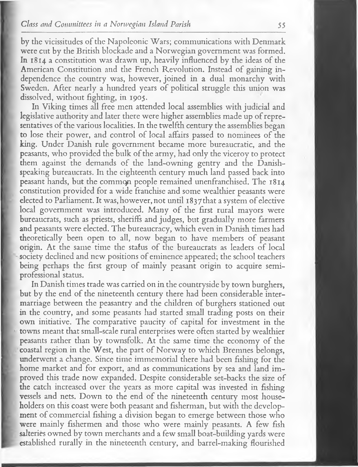by the vicissitudes of the Napoleonic Wars; communications with Denmark were cut by the British blockade and a Norwegian government was formed. In 1814 a constitution was drawn up, heavily influenced by the ideas of the American Constitution and the French Revolution. Instead of gaining independence the country was, however, joined in a dual monarchy with Sweden. After nearly a hundred years of political struggle this union was dissolved, without fighting, in 1905.

In Viking times all free men attended local assemblies with judicial and legislative authority and later there were higher assemblies made up of representatives of the various localities. In the twelfth century the assemblies began to lose their power, and control of local affairs passed to nominees of the king. Under Danish rule government became more bureaucratic, and the peasants, who provided the bulk of the army, had only the viceroy to protect them against the demands of the land-owning gentry and the Danishspeaking bureaucrats. In the eighteenth century much land passed back into peasant hands, but the common people remained unenfranchised. The 1814 constitution provided for a wide franchise and some wealthier peasants were elected to Parliament. It was, however, not until 1837 that a system of elective local government was introduced. Many of the first rural mayors were bureaucrats, such as priests, sheriffs and judges, but gradually more farmers and peasants were elected. The bureaucracy, which even in Danish times had theoretically been open to all, now began to have members of peasant origin. At the same time the status of the bureaucrats as leaders of local society declined and new positions of eminence appeared; the school teachers being perhaps the first group of mainly peasant origin to acquire semiprofessional status.

In Danish times trade was carried on in the countryside by town burghers, but by the end of the nineteenth century there had been considerable intermarriage between the peasantry and the children of burghers stationed out in the country, and some peasants had started small trading posts on their own initiative. The comparative paucity of capital for investment in the towns meant that small-scale rural enterprises were often started by wealthier peasants rather than by townsfolk. At the same time the economy of the coastal region in the West, the part of Norway to which Bremnes belongs, underwent a change. Since time immemorial there had been fishing for the home market and for export, and as communications by sea and land improved this trade now expanded. Despite considerable set-backs the size of the catch increased over the years as more capital was invested in fishing vessels and nets. Down to the end of the nineteenth century most householders on this coast were both peasant and fisherman, but with the development of commercial fishing a division began to emerge between those who were mainly fishermen and those who were mainly peasants. A few fish salteries owned by town merchants and a few small boat-building yards were established rurally in the nineteenth century, and barrel-making flourished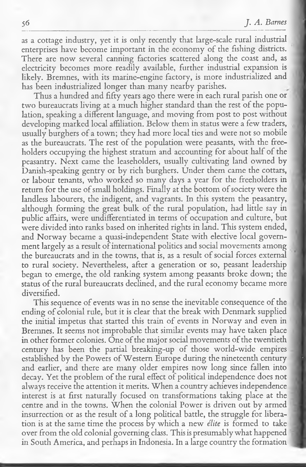as a cottage industry, yet it is only recently that large-scale rural industrial enterprises have become important in the economy of the fishing districts. There are now several canning factories scattered along the coast and, as electricity becomes more readily available, further industrial expansion is likely. Bremnes, with its marine-engine factory, is more industrialized and has been industrialized longer than many nearby parishes.

Thus a hundred and fifty years ago there were in each rural parish one or two bureaucrats living at a much higher standard than the rest of the population, speaking a different language, and moving from post to post without developing marked local affiliation. Below them in status were a few traders, usually burghers of a town; they had more local ties and were not so mobile as the bureaucrats. The rest of the population were peasants, with the freeholders occupying the highest stratum and accounting for about half of the peasantry. Next came the leaseholders, usually cultivating land owned by Danish-speaking gentry or by rich burghers. Under them came the cottars, or labour tenants, who worked so many days a year for the freeholders in return for the use of small holdings. Finally at the bottom of society were the landless labourers, the indigent, and vagrants. In this system the peasantry, although forming the great bulk of the rural population, had little say in public affairs, were undifferentiated in terms of occupation and culture, but were divided into ranks based on inherited rights in land. This system ended, and Norway became a quasi-independent State with elective local govern- $\mu$ ment largely as a result of international politics and social movements among the bureaucrats and in the towns, that is, as a result of social forces external to rural society. Nevertheless, after a generation or so, peasant leadership began to emerge, the old ranking system among peasants broke down; the status of the rural bureaucrats declined, and the rural economy became more diversified.

This sequence of events was in no sense the inevitable consequence of the ending of colonial rule, but it is clear that the break with Denmark supplied the initial impetus that started this train of events in Norway and even in Bremnes. It seems not improbable that similar events may have taken place in other former colonies. One of the major social movements of the twentieth century has been the partial breaking-up of those world-wide empires established by the Powers of Western Europe during the nineteenth century and earlier, and there are many older empires now long since fallen into decay. Yet the problem of the rural effect of political independence does not always receive the attention it merits. When a country achieves independence interest is at first naturally focused on transformations taking place at the centre and in the towns. When the colonial Power is driven out by armed insurrection or as the result of a long political battle, the struggle for liberation is at the same time the process by which a new *élite* is formed to take over from the old colonial governing class. This is presumably what happened in South America, and perhaps in Indonesia. In a large country the formation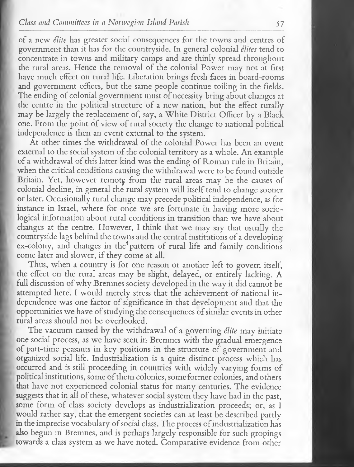of a new *élite* has greater social consequences for the towns and centres of government than it has for the countryside. In general colonial *elites* tend to concentrate in towns and military camps and are thinly spread throughout the rural areas. Hence the removal of the colonial Power may not at first have much cffcct on rural life. Liberation brings fresh faces in board-rooms and government offices, but the same people continue toiling in the fields. The ending of colonial government must of necessity bring about changes at the centre in the political structure of a new nation, but the effect rurally may be largely the replacement of, say, a White District Officer by a Black one. From the point of view of rural society the change to national political independence is then an event external to the system.

At other times the withdrawal of the colonial Power has been an event external to the social system of the colonial territory as a whole. An example of a withdrawal of this latter kind was the ending of Roman rule in Britain, when the critical conditions causing the withdrawal were to be found outside Britain. Yet, however remote from the rural areas may be the causes of colonial decline, in general the rural system will itself tend to change sooner or later. Occasionally rural change may precede political independence, as for instance in Israel, where for once we are fortunate in having more sociological information about rural conditions in transition than we have about changes at the centre. However, I think that we may say that usually the countryside lags behind the towns and the central institutions of a developing ex-colony, and changes in the<sup>†</sup> pattern of rural life and family conditions come later and slower, if they come at all.

Thus, when a country is for one reason or another left to govern itself, the effect on the rural areas may be slight, delayed, or entirely lacking. A full discussion of why Bremnes society developed in the way it did cannot be attempted here. I would merely stress that the achievement of national independence was one factor of significance in that development and that the opportunities we have of studying the consequences of similar events in other rural areas should not be overlooked.

The vacuum caused by the withdrawal of a governing *élite* may initiate one social process, as we have seen in Bremnes with the gradual emergence of part-time peasants in key positions in the structure of government and organized social life. Industrialization is a quite distinct process wliich has occurred and is still proceeding in countries with widely varying forms of political institutions, some of them colonies, some former colonies, and others that have not experienced colonial status for many centuries. The evidence suggests that in all of these, whatever social system they have had in the past, some form of class society develops as industrialization proceeds; or, as I would rather say, that the emergent societies can at least be described partly in the imprecise vocabulary of social class. The process of industrialization has also begun in Bremnes, and is perhaps largely responsible for such gropings towards a class system as we have noted. Comparative evidence from other